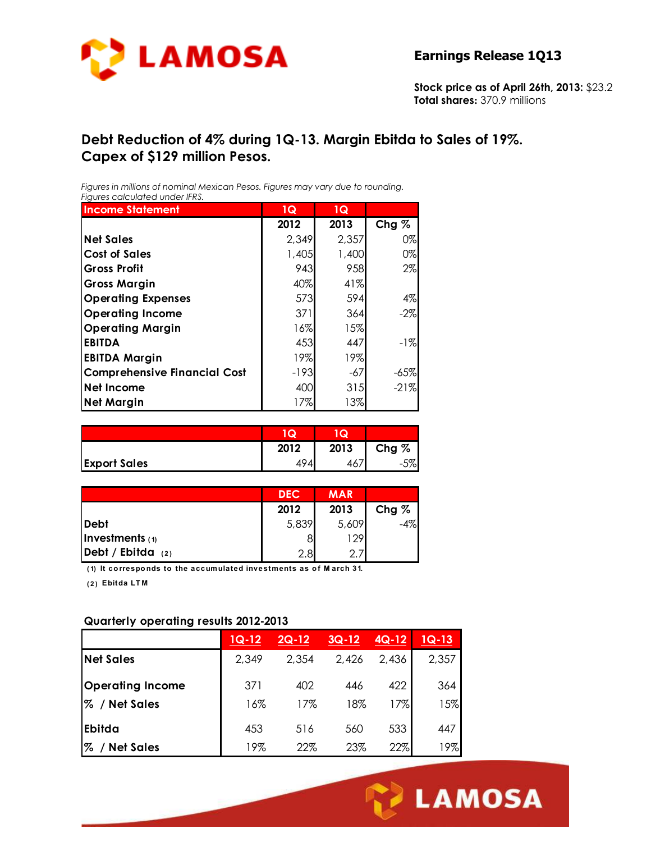

**Stock price as of April 26th, 2013:** \$23.2 **Total shares:** 370.9 millions

## **Debt Reduction of 4% during 1Q-13. Margin Ebitda to Sales of 19%. Capex of \$129 million Pesos.**

*Figures in millions of nominal Mexican Pesos. Figures may vary due to rounding. Figures calculated under IFRS.* 

| <b>Income Statement</b>             | 1Q     | 1Q    |         |
|-------------------------------------|--------|-------|---------|
|                                     | 2012   | 2013  | Chg $%$ |
| <b>Net Sales</b>                    | 2,349  | 2,357 | $0\%$   |
| <b>Cost of Sales</b>                | 1,405  | 1,400 | 0%      |
| <b>Gross Profit</b>                 | 943    | 958   | 2%      |
| <b>Gross Margin</b>                 | 40%    | 41%   |         |
| <b>Operating Expenses</b>           | 573    | 594   | 4%      |
| <b>Operating Income</b>             | 371    | 364   | $-2\%$  |
| <b>Operating Margin</b>             | 16%    | 15%   |         |
| <b>EBITDA</b>                       | 453    | 447   | $-1%$   |
| <b>EBITDA Margin</b>                | 19%    | 19%   |         |
| <b>Comprehensive Financial Cost</b> | $-193$ | -67   | $-65%$  |
| Net Income                          | 400    | 315   | $-21%$  |
| <b>Net Margin</b>                   | 17%    | 13%   |         |

|                     | w    | Q.   |         |
|---------------------|------|------|---------|
|                     | 2012 | 2013 | $Chg\%$ |
| <b>Export Sales</b> | 4941 | 46,  | 70∣     |

|                           | <b>DEC</b> | <b>MAR</b> |         |
|---------------------------|------------|------------|---------|
|                           | 2012       | 2013       | Chg $%$ |
| Debt                      | 5,839      | 5,609      | -4%     |
| Investments $(1)$         |            | 129        |         |
| $\vert$ Debt / Ebitda (2) | 2.8        |            |         |

**( 1) It co rrespo nds to the accumulated investments as o f M arch 31.**

**( 2 ) Ebitda LT M**

#### **Quarterly operating results 2012-2013**

|                         | $1Q-12$ | $2Q-12$ | $3Q-12$ | $4Q-12$ | $1Q-13$ |
|-------------------------|---------|---------|---------|---------|---------|
| <b>Net Sales</b>        | 2,349   | 2,354   | 2,426   | 2,436   | 2,357   |
| <b>Operating Income</b> | 371     | 402     | 446     | 422     | 364     |
| <b>Net Sales</b><br>℅   | 16%     | 17%     | 18%     | 17%     | 15%     |
| Ebitda                  | 453     | 516     | 560     | 533     | 447     |
| %<br><b>Net Sales</b>   | 19%     | 22%     | 23%     | 22%     | 19%     |

Ī

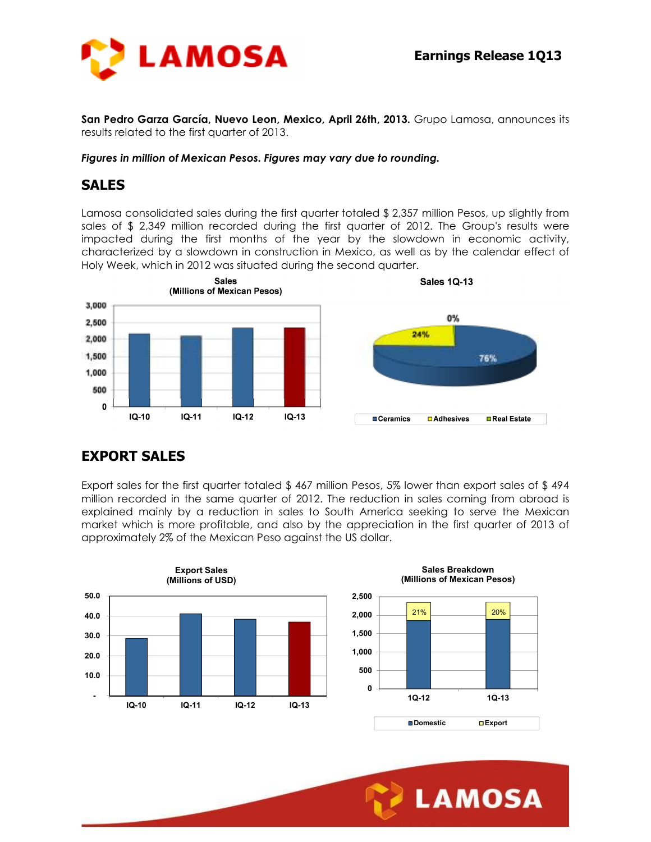

**San Pedro Garza García, Nuevo Leon, Mexico, April 26th, 2013.** Grupo Lamosa, announces its results related to the first quarter of 2013.

#### *Figures in million of Mexican Pesos. Figures may vary due to rounding.*

## **SALES**

Lamosa consolidated sales during the first quarter totaled \$ 2,357 million Pesos, up slightly from sales of \$ 2,349 million recorded during the first quarter of 2012. The Group's results were impacted during the first months of the year by the slowdown in economic activity, characterized by a slowdown in construction in Mexico, as well as by the calendar effect of Holy Week, which in 2012 was situated during the second quarter.



## **EXPORT SALES**

Export sales for the first quarter totaled \$ 467 million Pesos, 5% lower than export sales of \$ 494 million recorded in the same quarter of 2012. The reduction in sales coming from abroad is explained mainly by a reduction in sales to South America seeking to serve the Mexican market which is more profitable, and also by the appreciation in the first quarter of 2013 of approximately 2% of the Mexican Peso against the US dollar.



Ī

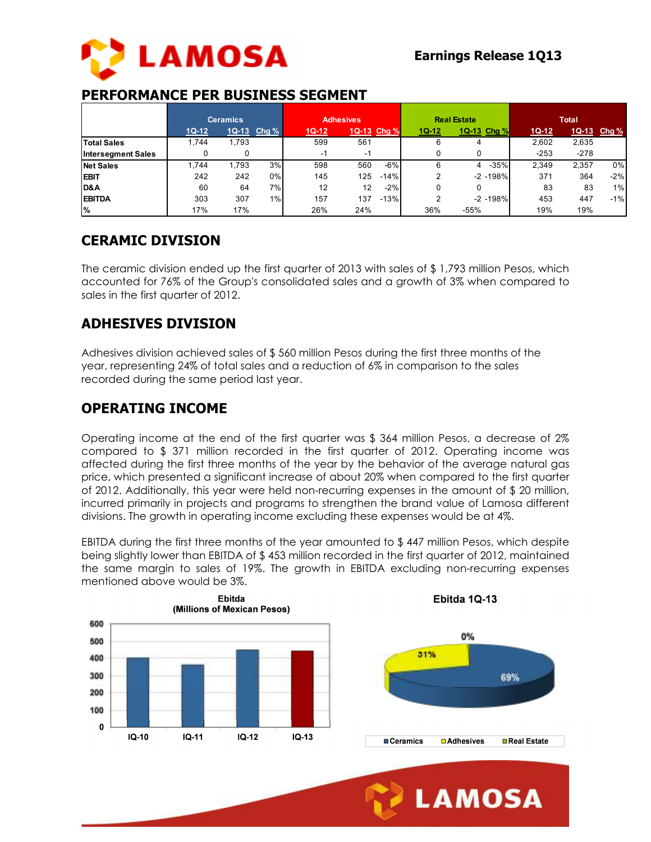

## **PERFORMANCE PER BUSINESS SEGMENT**

|                           | <b>Ceramics</b> |       | <b>Adhesives</b> |         | <b>Real Estate</b> |        |       | <b>Total</b> |             |         |        |             |
|---------------------------|-----------------|-------|------------------|---------|--------------------|--------|-------|--------------|-------------|---------|--------|-------------|
|                           | $1Q-12$         |       | 1Q-13 Chg %      | $1Q-12$ | 1Q-13 Chg %        |        | 1Q-12 | 1Q-13 Chg %  |             | $1Q-12$ |        | 1Q-13 Chg % |
| <b>Total Sales</b>        | 1.744           | 1,793 |                  | 599     | 561                |        | 6     | 4            |             | 2.602   | 2,635  |             |
| <b>Intersegment Sales</b> |                 |       |                  | - 1     | $\sim$ 1           |        |       |              |             | $-253$  | $-278$ |             |
| <b>Net Sales</b>          | 1.744           | 793.ا | 3%               | 598     | 560                | $-6%$  |       | 4            | $-35%$      | 2.349   | 2,357  | 0%          |
| <b>EBIT</b>               | 242             | 242   | 0%               | 145     | 125                | $-14%$ |       |              | $-2 - 198%$ | 371     | 364    | $-2%$       |
| D&A                       | 60              | 64    | 7%               | 12      | 12                 | $-2%$  |       |              |             | 83      | 83     | 1%          |
| <b>EBITDA</b>             | 303             | 307   | 1%               | 157     | 137                | $-13%$ |       |              | $-2 - 198%$ | 453     | 447    | $-1%$       |
| $\frac{9}{6}$             | 17%             | 17%   |                  | 26%     | 24%                |        | 36%   | $-55%$       |             | 19%     | 19%    |             |

# **CERAMIC DIVISION**

The ceramic division ended up the first quarter of 2013 with sales of \$ 1,793 million Pesos, which accounted for 76% of the Group's consolidated sales and a growth of 3% when compared to sales in the first quarter of 2012.

# **ADHESIVES DIVISION**

Adhesives division achieved sales of \$ 560 million Pesos during the first three months of the year, representing 24% of total sales and a reduction of 6% in comparison to the sales recorded during the same period last year.

## **OPERATING INCOME**

Operating income at the end of the first quarter was \$ 364 million Pesos, a decrease of 2% compared to \$ 371 million recorded in the first quarter of 2012. Operating income was affected during the first three months of the year by the behavior of the average natural gas price, which presented a significant increase of about 20% when compared to the first quarter of 2012. Additionally, this year were held non-recurring expenses in the amount of \$ 20 million, incurred primarily in projects and programs to strengthen the brand value of Lamosa different divisions. The growth in operating income excluding these expenses would be at 4%.

EBITDA during the first three months of the year amounted to \$ 447 million Pesos, which despite being slightly lower than EBITDA of \$ 453 million recorded in the first quarter of 2012, maintained the same margin to sales of 19%. The growth in EBITDA excluding non-recurring expenses mentioned above would be 3%.



Ī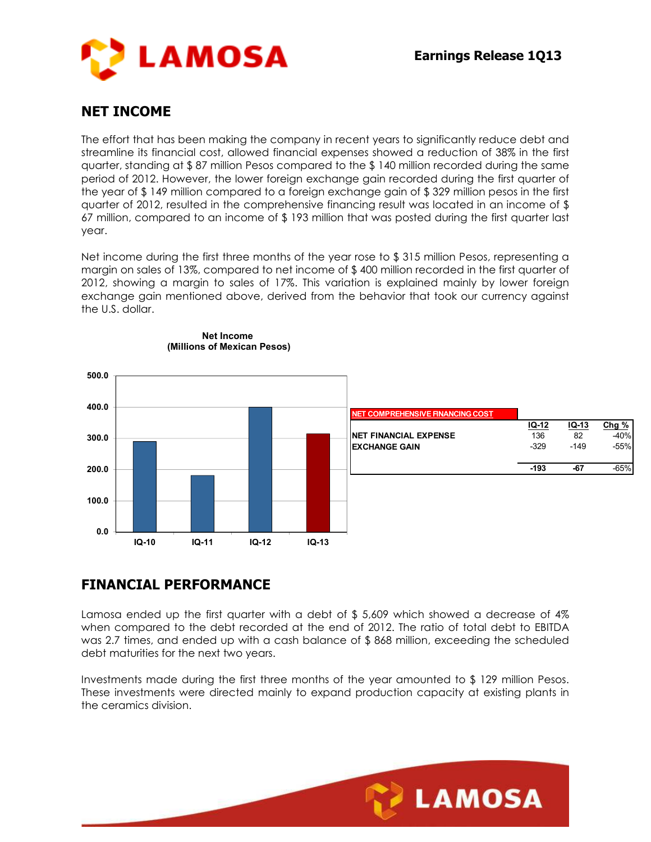

## **NET INCOME**

The effort that has been making the company in recent years to significantly reduce debt and streamline its financial cost, allowed financial expenses showed a reduction of 38% in the first quarter, standing at \$ 87 million Pesos compared to the \$ 140 million recorded during the same period of 2012. However, the lower foreign exchange gain recorded during the first quarter of the year of \$ 149 million compared to a foreign exchange gain of \$ 329 million pesos in the first quarter of 2012, resulted in the comprehensive financing result was located in an income of \$ 67 million, compared to an income of \$ 193 million that was posted during the first quarter last year.

Net income during the first three months of the year rose to \$315 million Pesos, representing a margin on sales of 13%, compared to net income of \$ 400 million recorded in the first quarter of 2012, showing a margin to sales of 17%. This variation is explained mainly by lower foreign exchange gain mentioned above, derived from the behavior that took our currency against the U.S. dollar.



#### **Net Income (Millions of Mexican Pesos)**

## **FINANCIAL PERFORMANCE**

Lamosa ended up the first quarter with a debt of  $$5,609$  which showed a decrease of  $4\%$ when compared to the debt recorded at the end of 2012. The ratio of total debt to EBITDA was 2.7 times, and ended up with a cash balance of \$ 868 million, exceeding the scheduled debt maturities for the next two years.

Investments made during the first three months of the year amounted to \$ 129 million Pesos. These investments were directed mainly to expand production capacity at existing plants in the ceramics division.